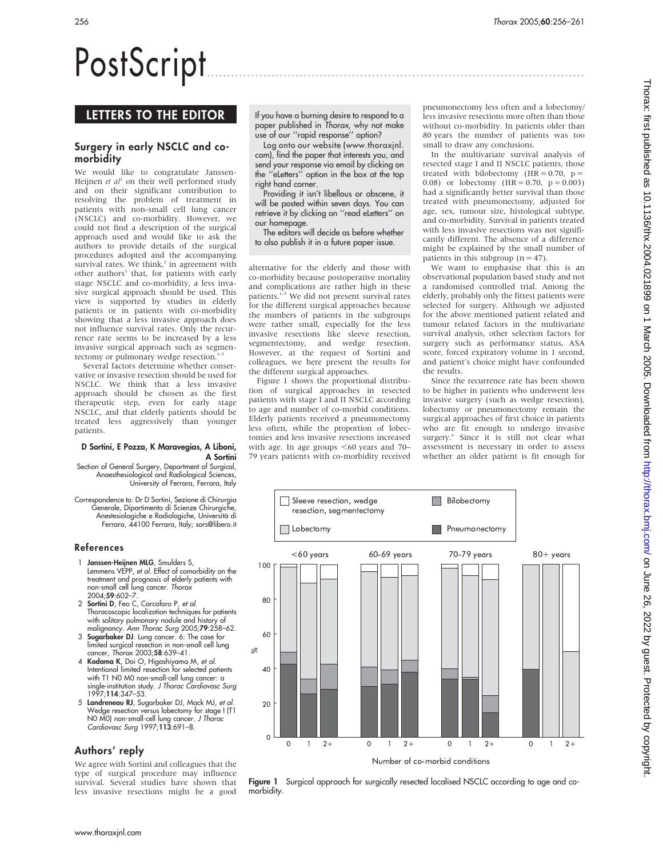# PostScript

## LETTERS TO THE EDITOR

## Surgery in early NSCLC and comorbidity

We would like to congratulate Janssen-Heijnen et  $al<sup>1</sup>$  on their well performed study and on their significant contribution to resolving the problem of treatment in patients with non-small cell lung cancer (NSCLC) and co-morbidity. However, we could not find a description of the surgical approach used and would like to ask the authors to provide details of the surgical procedures adopted and the accompanying survival rates. We think, $2$  in agreement with other authors<sup>3</sup> that, for patients with early stage NSCLC and co-morbidity, a less invasive surgical approach should be used. This view is supported by studies in elderly patients or in patients with co-morbidity showing that a less invasive approach does not influence survival rates. Only the recurrence rate seems to be increased by a less invasive surgical approach such as segmentectomy or pulmonary wedge resection.<sup>3</sup>

Several factors determine whether conservative or invasive resection should be used for NSCLC. We think that a less invasive approach should be chosen as the first therapeutic step, even for early stage NSCLC, and that elderly patients should be treated less aggressively than younger patients.

#### D Sortini, E Pozza, K Maravegias, A Liboni, A Sortini

Section of General Surgery, Department of Surgical, Anaesthesiological and Radiological Sciences, University of Ferrara, Ferrara, Italy

Correspondence to: Dr D Sortini, Sezione di Chirurgia ,<br>Generale, Dipartimento di Scienze Chirurgiche, Anestesiologiche e Radiologiche, Universita` di Ferrara, 44100 Ferrara, Italy; sors@libero.it

### References

- 1 Janssen-Heijnen MLG, Smulders S, Lemmens VEPP, et al. Effect of comorbidity on the treatment and prognosis of elderly patients with non-small cell lung cancer. Thorax
- 2004;59:602–7. 2 Sortini D, Feo C, Carcoforo P, et al. Thoracoscopic localization techniques for patients with solitary pulmonary nodule and history of malignancy. Ann Thorac Surg 2005;79:258–62.
- 3 Sugarbaker DJ. Lung cancer. 6: The case for limited surgical resection in non-small cell lung cancer, Thorax 2003;58:639–41.
- 4 Kodama K, Doi O, Higashiyama M, et al. Intentional limited resection for selected patients with T1 N0 M0 non-small-cell lung cancer: a single-institution study. J Thorac Cardiovasc Surg 1997;114:347–53.
- Landreneau RJ, Sugarbaker DJ, Mack MJ, et al. Wedge resection versus lobectomy for stage I (T1 N0 M0) non-small-cell lung cancer. J Thorac Cardiovasc Surg 1997;113:691–8.

## Authors' reply

We agree with Sortini and colleagues that the type of surgical procedure may influence survival. Several studies have shown that less invasive resections might be a good If you have a burning desire to respond to a paper published in Thorax, why not make use of our ''rapid response'' option?

Log onto our website (www.thoraxjnl. com), find the paper that interests you, and send your response via email by clicking on the ''eLetters'' option in the box at the top right hand corner.

Providing it isn't libellous or obscene, it will be posted within seven days. You can retrieve it by clicking on ''read eLetters'' on our homepage.

The editors will decide as before whether to also publish it in a future paper issue.

alternative for the elderly and those with co-morbidity because postoperative mortality and complications are rather high in these patients.<sup>1-5</sup> We did not present survival rates for the different surgical approaches because the numbers of patients in the subgroups were rather small, especially for the less invasive resections like sleeve resection, segmentectomy, and wedge resection. However, at the request of Sortini and colleagues, we here present the results for the different surgical approaches.

Figure 1 shows the proportional distribution of surgical approaches in resected patients with stage I and II NSCLC according to age and number of co-morbid conditions. Elderly patients received a pneumonectomy less often, while the proportion of lobectomies and less invasive resections increased with age. In age groups  $<$  60 years and 70– 79 years patients with co-morbidity received

> Sleeve resection, wedge resection, segmentectomy

Lobectomy

 $0 \t 1 \t 2+$ 

100

80

60

×,

40

20

 $\Omega$ 

pneumonectomy less often and a lobectomy/ less invasive resections more often than those without co-morbidity. In patients older than 80 years the number of patients was too small to draw any conclusions.

In the multivariate survival analysis of resected stage I and II NSCLC patients, those treated with bilobectomy  $(HR = 0.70, p =$ 0.08) or lobectomy  $(HR = 0.70, p = 0.003)$ had a significantly better survival than those treated with pneumonectomy, adjusted for age, sex, tumour size, histological subtype, and co-morbidity. Survival in patients treated with less invasive resections was not significantly different. The absence of a difference might be explained by the small number of patients in this subgroup  $(n = 47)$ .

We want to emphasise that this is an observational population based study and not a randomised controlled trial. Among the elderly, probably only the fittest patients were selected for surgery. Although we adjusted for the above mentioned patient related and tumour related factors in the multivariate survival analysis, other selection factors for surgery such as performance status, ASA score, forced expiratory volume in 1 second, and patient's choice might have confounded the results.

Since the recurrence rate has been shown to be higher in patients who underwent less invasive surgery (such as wedge resection), lobectomy or pneumonectomy remain the surgical approaches of first choice in patients who are fit enough to undergo invasive surgery.<sup>4</sup> Since it is still not clear what assessment is necessary in order to assess whether an older patient is fit enough for



+ 0 1 2

Number of co-morbid conditions

<60 years 60-69 years 70-79 years 80+ years

Bilobectomy

Pneumonectomy

+ 0 1 2

 $2+$ 

+ 0 1 2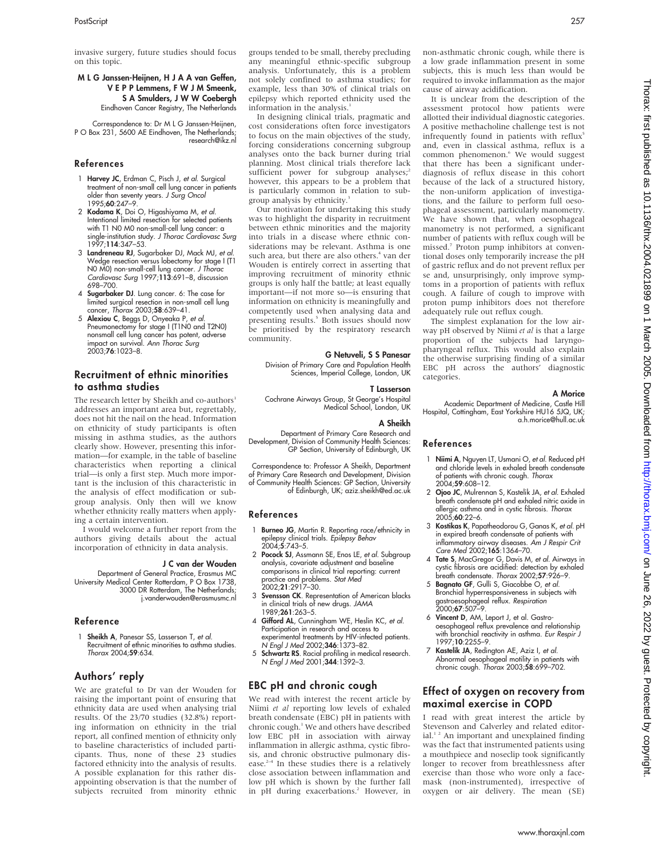invasive surgery, future studies should focus on this topic.

#### M L G Janssen-Heijnen, H J A A van Geffen, V E P P Lemmens, F W J M Smeenk, S A Smulders, J W W Coebergh Eindhoven Cancer Registry, The Netherlands

Correspondence to: Dr M L G Janssen-Heijnen, P O Box 231, 5600 AE Eindhoven, The Netherlands; research@ikz.nl

#### References

- 1 Harvey JC, Erdman C, Pisch J, et al. Surgical treatment of non-small cell lung cancer in patients older than seventy years. J Surg Oncol 1995;60:247–9.
- 2 Kodama K, Doi O, Higashiyama M, et al. Intentional limited resection for selected patients with T1 N0 M0 non-small-cell lung cancer: a single-institution study. J Thorac Cardiovasc Surg 1997;114:347–53.
- 3 Landreneau RJ, Sugarbaker DJ, Mack MJ, et al. Wedge resection versus lobectomy for stage I (T1<br>N0 M0) non-small-cell lung cancer. *J Thorac*<br>*Cardiovasc Surg* 1997;**113**:691–8, discussion 698–700.
- 4 Sugarbaker DJ. Lung cancer. 6: The case for limited surgical resection in non-small cell lung cancer, Thorax 2003;58:639–41.
- 5 Alexiou C, Beggs D, Onyeaka P, et al. Pneumonectomy for stage I (T1N0 and T2N0) nonsmall cell lung cancer has potent, adverse impact on survival. Ann Thorac Surg 2003;76:1023–8.

## Recruitment of ethnic minorities to asthma studies

The research letter by Sheikh and co-authors<sup>1</sup> addresses an important area but, regrettably, does not hit the nail on the head. Information on ethnicity of study participants is often missing in asthma studies, as the authors clearly show. However, presenting this information—for example, in the table of baseline characteristics when reporting a clinical trial—is only a first step. Much more important is the inclusion of this characteristic in the analysis of effect modification or subgroup analysis. Only then will we know whether ethnicity really matters when applying a certain intervention.

I would welcome a further report from the authors giving details about the actual incorporation of ethnicity in data analysis.

#### J C van der Wouden

Department of General Practice, Erasmus MC University Medical Center Rotterdam, P O Box 1738, 3000 DR Rotterdam, The Netherlands; j.vanderwouden@erasmusmc.nl

#### Reference

1 Sheikh A, Panesar SS, Lasserson T, et al. Recruitment of ethnic minorities to asthma studies. Thorax 2004;59:634.

## Authors' reply

We are grateful to Dr van der Wouden for raising the important point of ensuring that ethnicity data are used when analysing trial results. Of the 23/70 studies (32.8%) reporting information on ethnicity in the trial report, all confined mention of ethnicity only to baseline characteristics of included participants. Thus, none of these 23 studies factored ethnicity into the analysis of results. A possible explanation for this rather disappointing observation is that the number of subjects recruited from minority ethnic

groups tended to be small, thereby precluding any meaningful ethnic-specific subgroup analysis. Unfortunately, this is a problem not solely confined to asthma studies; for example, less than 30% of clinical trials on epilepsy which reported ethnicity used the information in the analysis.<sup>1</sup>

In designing clinical trials, pragmatic and cost considerations often force investigators to focus on the main objectives of the study, forcing considerations concerning subgroup analyses onto the back burner during trial planning. Most clinical trials therefore lack sufficient power for subgroup analyses;<sup>2</sup> however, this appears to be a problem that is particularly common in relation to subgroup analysis by ethnicity.<sup>3</sup>

Our motivation for undertaking this study was to highlight the disparity in recruitment between ethnic minorities and the majority into trials in a disease where ethnic considerations may be relevant. Asthma is one such area, but there are also others.<sup>4</sup> van der Wouden is entirely correct in asserting that improving recruitment of minority ethnic groups is only half the battle; at least equally important—if not more so—is ensuring that information on ethnicity is meaningfully and competently used when analysing data and presenting results.<sup>5</sup> Both issues should now be prioritised by the respiratory research community.

#### G Netuveli, S S Panesar

Division of Primary Care and Population Health Sciences, Imperial College, London, UK

#### T Lasserson

Cochrane Airways Group, St George's Hospital Medical School, London, UK

#### A Sheikh

Department of Primary Care Research and Development, Division of Community Health Sciences: GP Section, University of Edinburgh, UK

Correspondence to: Professor A Sheikh, Department of Primary Care Research and Development, Division of Community Health Sciences: GP Section, University of Edinburgh, UK; aziz.sheikh@ed.ac.uk

#### References

- 1 Burneo JG, Martin R. Reporting race/ethnicity in epilepsy clinical trials. Epilepsy Behav 2004;5:743–5.
- 2 Pocock SJ, Assmann SE, Enos LE, et al. Subgroup analysis, covariate adjustment and baseline comparisons in clinical trial reporting: current practice and problems. *Stat Med*<br>2002;**21**:2917–30.
- 3 Svensson CK. Representation of American blacks in clinical trials of new drugs. JAMA 1989;261:263–5.
- 4 Gifford AL, Cunningham WE, Heslin KC, et al. Participation in research and access to experimental treatments by HIV-infected patients. N Engl J Med 2002;346:1373–82.
- 5 Schwartz RS. Racial profiling in medical research. N Engl J Med 2001;344:1392–3.

## EBC pH and chronic cough

We read with interest the recent article by Niimi et al reporting low levels of exhaled breath condensate (EBC) pH in patients with chronic cough.<sup>1</sup> We and others have described low EBC pH in association with airway inflammation in allergic asthma, cystic fibrosis, and chronic obstructive pulmonary disease. $2-4$  In these studies there is a relatively close association between inflammation and low pH which is shown by the further fall in pH during exacerbations.<sup>2</sup> However, in non-asthmatic chronic cough, while there is a low grade inflammation present in some subjects, this is much less than would be required to invoke inflammation as the major cause of airway acidification.

It is unclear from the description of the assessment protocol how patients were allotted their individual diagnostic categories. A positive methacholine challenge test is not infrequently found in patients with reflux<sup>5</sup> and, even in classical asthma, reflux is a common phenomenon.<sup>6</sup> We would suggest that there has been a significant underdiagnosis of reflux disease in this cohort because of the lack of a structured history, the non-uniform application of investigations, and the failure to perform full oesophageal assessment, particularly manometry. We have shown that, when oesophageal manometry is not performed, a significant number of patients with reflux cough will be missed.7 Proton pump inhibitors at conventional doses only temporarily increase the pH of gastric reflux and do not prevent reflux per se and, unsurprisingly, only improve symptoms in a proportion of patients with reflux cough. A failure of cough to improve with proton pump inhibitors does not therefore adequately rule out reflux cough.

The simplest explanation for the low airway pH observed by Niimi et al is that a large proportion of the subjects had laryngopharyngeal reflux. This would also explain the otherwise surprising finding of a similar EBC pH across the authors' diagnostic categories.

#### A Morice

Academic Department of Medicine, Castle Hill Hospital, Cottingham, East Yorkshire HU16 5JQ, UK; a.h.morice@hull.ac.uk

#### References

- 1 Niimi A, Nguyen LT, Usmani O, et al. Reduced pH and chloride levels in exhaled breath condensate of patients with chronic cough. Thorax 2004;59:608–12.
- 2 Ojoo JC, Mulrennan S, Kastelik JA, et al. Exhaled breath condensate pH and exhaled nitric oxide in allergic asthma and in cystic fibrosis. Thorax 2005;60:22–6.
- 3 Kostikas K, Papatheodorou G, Ganas K, et al. pH in expired breath condensate of patients with inflammatory airway diseases. Am J Respir Crit Care Med 2002;165:1364–70.
- 4 Tate S, MacGregor G, Davis M, et al. Airways in cystic fibrosis are acidified: detection by exhaled
- breath condensate. Thorax 2002;57:926–9. 5 Bagnato GF, Gulli S, Giacobbe O, et al. Bronchial hyperresponsiveness in subjects with gastroesophageal reflux. *Respiration*<br>2000;**67**:507–9.
- 6 Vincent D, AM, Leport J, et al. Gastrooesophageal reflux prevalence and relationship with bronchial reactivity in asthma. Eur Respir J 1997;10:2255–9.
- 7 Kastelik JA, Redington AE, Aziz I, et al. Abnormal oesophageal motility in patients with chronic cough. Thorax 2003;58:699–702.

## Effect of oxygen on recovery from maximal exercise in COPD

I read with great interest the article by Stevenson and Calverley and related editorial.<sup>12</sup> An important and unexplained finding was the fact that instrumented patients using a mouthpiece and noseclip took significantly longer to recover from breathlessness after exercise than those who wore only a facemask (non-instrumented), irrespective of oxygen or air delivery. The mean (SE)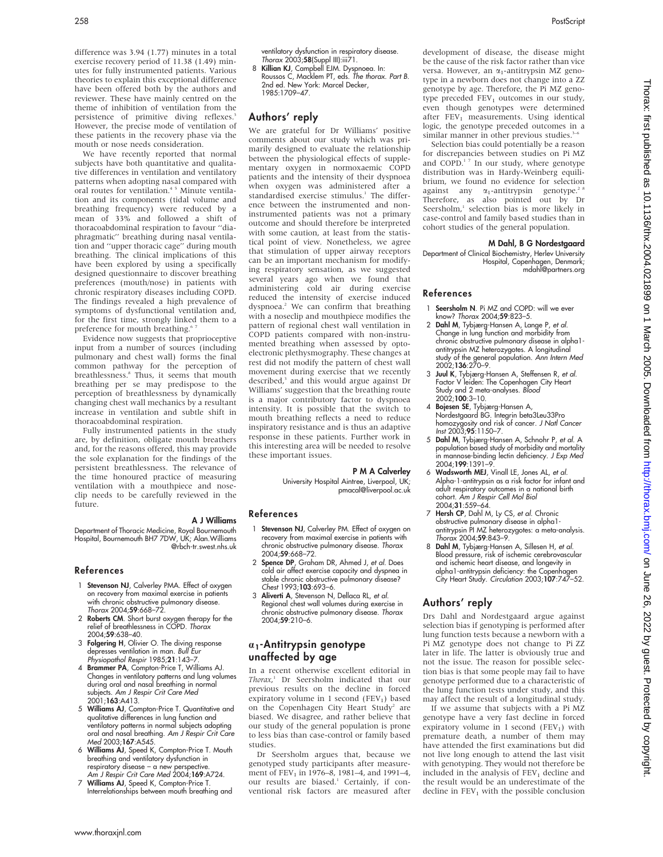difference was 3.94 (1.77) minutes in a total exercise recovery period of 11.38 (1.49) minutes for fully instrumented patients. Various theories to explain this exceptional difference have been offered both by the authors and reviewer. These have mainly centred on the theme of inhibition of ventilation from the persistence of primitive diving reflexes.<sup>3</sup> However, the precise mode of ventilation of these patients in the recovery phase via the mouth or nose needs consideration.

We have recently reported that normal subjects have both quantitative and qualitative differences in ventilation and ventilatory patterns when adopting nasal compared with oral routes for ventilation.<sup>45</sup> Minute ventilation and its components (tidal volume and breathing frequency) were reduced by a mean of 33% and followed a shift of thoracoabdominal respiration to favour ''diaphragmatic'' breathing during nasal ventilation and ''upper thoracic cage'' during mouth breathing. The clinical implications of this have been explored by using a specifically designed questionnaire to discover breathing preferences (mouth/nose) in patients with chronic respiratory diseases including COPD. The findings revealed a high prevalence of symptoms of dysfunctional ventilation and, for the first time, strongly linked them to a preference for mouth breathing.<sup>6</sup>

Evidence now suggests that proprioceptive input from a number of sources (including pulmonary and chest wall) forms the final common pathway for the perception of breathlessness.<sup>8</sup> Thus, it seems that mouth breathing per se may predispose to the perception of breathlessness by dynamically changing chest wall mechanics by a resultant increase in ventilation and subtle shift in thoracoabdominal respiration.

Fully instrumented patients in the study are, by definition, obligate mouth breathers and, for the reasons offered, this may provide the sole explanation for the findings of the persistent breathlessness. The relevance of the time honoured practice of measuring ventilation with a mouthpiece and noseclip needs to be carefully reviewed in the future.

#### A J Williams

Department of Thoracic Medicine, Royal Bournemouth Hospital, Bournemouth BH7 7DW, UK; Alan.Williams @rbch-tr.swest.nhs.uk

#### References

- 1 Stevenson NJ, Calverley PMA. Effect of oxygen on recovery from maximal exercise in patients with chronic obstructive pulmonary disease. Thorax 2004;59:668–72.
- 2 Roberts CM. Short burst oxygen therapy for the relief of breathlessness in COPD. Thorax 2004;59:638–40.
- 3 Folgering H, Olivier O. The diving response depresses ventilation in man. Bull Eur Physiopathol Respir 1985;21:143-7
- 4 Brammer PA, Compton-Price T, Williams AJ. Changes in ventilatory patterns and lung volumes during oral and nasal breathing in normal subjects. *Am J Respir Crit Care Med*<br>2001;**163**:A413.
- 5 Williams AJ, Compton-Price T. Quantitative and qualitative differences in lung function and ventilatory patterns in normal subjects adopting oral and nasal breathing. Am J Respir Crit Care Med 2003;167:A545.
- 6 Williams AJ, Speed K, Compton-Price T. Mouth breathing and ventilatory dysfunction in respiratory disease – a new perspective.<br>Am J Respir Crit Care Med 2004;**169**:A724.
- 7 Williams AJ, Speed K, Compton-Price T. Interrelationships between mouth breathing and

ventilatory dysfunction in respiratory disease. . 11.iii71.bh*rax* 2003;**58(**Suppl III):iii

8 Killian KJ, Campbell EJM. Dyspnoea. In: Roussos C, Macklem PT, eds. The thorax. Part B. 2nd ed. New York: Marcel Decker, 1985:1709–47.

## Authors' reply

We are grateful for Dr Williams' positive comments about our study which was primarily designed to evaluate the relationship between the physiological effects of supplementary oxygen in normoxaemic COPD patients and the intensity of their dyspnoea when oxygen was administered after a standardised exercise stimulus.<sup>1</sup> The difference between the instrumented and noninstrumented patients was not a primary outcome and should therefore be interpreted with some caution, at least from the statistical point of view. Nonetheless, we agree that stimulation of upper airway receptors can be an important mechanism for modifying respiratory sensation, as we suggested several years ago when we found that administering cold air during exercise reduced the intensity of exercise induced dyspnoea.2 We can confirm that breathing with a noseclip and mouthpiece modifies the pattern of regional chest wall ventilation in COPD patients compared with non-instrumented breathing when assessed by optoelectronic plethysmography. These changes at rest did not modify the pattern of chest wall movement during exercise that we recently described,<sup>3</sup> and this would argue against Dr Williams' suggestion that the breathing route is a major contributory factor to dyspnoea intensity. It is possible that the switch to mouth breathing reflects a need to reduce inspiratory resistance and is thus an adaptive response in these patients. Further work in this interesting area will be needed to resolve these important issues.

#### P M A Calverley

University Hospital Aintree, Liverpool, UK; pmacal@liverpool.ac.uk

#### References

- 1 Stevenson NJ, Calverley PM. Effect of oxygen on recovery from maximal exercise in patients with chronic obstructive pulmonary disease. Thorax 2004;59:668–72.
- 2 Spence DP, Graham DR, Ahmed J, et al. Does cold air affect exercise capacity and dyspnea in stable chronic obstructive pulmonary disease? Chest 1993;103:693–6.
- 3 Aliverti A, Stevenson N, Dellaca RL, et al. Regional chest wall volumes during exercise in chronic obstructive pulmonary disease. Thorax 2004;59:210–6.

## $\alpha_1$ -Antitrypsin genotype unaffected by age

In a recent otherwise excellent editorial in Thorax, <sup>1</sup> Dr Seersholm indicated that our previous results on the decline in forced expiratory volume in 1 second  $(FEV_1)$  based on the Copenhagen City Heart Study<sup>2</sup> are biased. We disagree, and rather believe that our study of the general population is prone to less bias than case-control or family based studies.

Dr Seersholm argues that, because we genotyped study participants after measurement of FEV<sub>1</sub> in 1976–8, 1981–4, and 1991–4, our results are biased.<sup>1</sup> Certainly, if conventional risk factors are measured after development of disease, the disease might be the cause of the risk factor rather than vice versa. However, an  $\alpha_1$ -antitrypsin MZ genotype in a newborn does not change into a ZZ genotype by age. Therefore, the Pi MZ genotype preceded  $FEV<sub>1</sub>$  outcomes in our study, even though genotypes were determined after FEV<sub>1</sub> measurements. Using identical logic, the genotype preceded outcomes in a similar manner in other previous studies.<sup>3-6</sup>

Selection bias could potentially be a reason for discrepancies between studies on Pi MZ and COPD.<sup>17</sup> In our study, where genotype distribution was in Hardy-Weinberg equilibrium, we found no evidence for selection against any  $\alpha_1$ -antitrypsin genotype.<sup>2</sup> Therefore, as also pointed out by Dr<br>Seersholm,<sup>1</sup> selection bias is more likely in case-control and family based studies than in cohort studies of the general population.

## M Dahl, B G Nordestgaard

Department of Clinical Biochemistry, Herlev University Hospital, Copenhagen, Denmark; mdahl@partners.org

#### References

- Seersholm N. Pi MZ and COPD: will we ever know? Thorax 2004;59:823–5.
- 2 Dahl M, Tybjærg-Hansen A, Lange P, et al. Change in lung function and morbidity from chronic obstructive pulmonary disease in alpha1 antitrypsin MZ heterozygotes. A longitudinal study of the general population. *Ann Intern Med*<br>2002;**136**:270–9.
- 3 Juul K, Tybjærg-Hansen A, Steffensen R, et al. Factor V leiden: The Copenhagen City Heart Study and 2 meta-analyses. Blood 2002;100:3–10.
- 4 Bojesen SE, Tybjærg-Hansen A, Nordestgaard BG. Integrin beta3Leu33Pro homozygosity and risk of cancer. *J Natl Cancer*<br>*Inst* 2003;**95**:1150–7.
- 5 Dahl M, Tybjærg-Hansen A, Schnohr P, et al. A population based study of morbidity and mortality in mannose-binding lectin deficiency. J Exp Med 2004;199:1391–9.
- 6 Wadsworth MEJ, Vinall LE, Jones AL, et al. Alpha-1-antitrypsin as a risk factor for infant and adult respiratory outcomes in a national birth cohort. Am J Respir Cell Mol Biol 2004;31:559–64.
- 7 Hersh CP, Dahl M, Ly CS, et al. Chronic obstructive pulmonary disease in alpha1- antitrypsin PI MZ heterozygotes: a meta-analysis. Thorax 2004;59:843–9.
- 8 Dahl M, Tybjærg-Hansen A, Sillesen H, et al. Blood pressure, risk of ischemic cerebrovascular and ischemic heart disease, and longevity in alpha1-antitrypsin deficiency: the Copenhagen<br>City Heart Study. *Circulation* 2003;**107**:747–52.

## Authors' reply

Drs Dahl and Nordestgaard argue against selection bias if genotyping is performed after lung function tests because a newborn with a Pi MZ genotype does not change to Pi ZZ later in life. The latter is obviously true and not the issue. The reason for possible selection bias is that some people may fail to have genotype performed due to a characteristic of the lung function tests under study, and this may affect the result of a longitudinal study.

If we assume that subjects with a Pi MZ genotype have a very fast decline in forced expiratory volume in 1 second (FEV<sub>1</sub>) with premature death, a number of them may have attended the first examinations but did not live long enough to attend the last visit with genotyping. They would not therefore be included in the analysis of  $FEV<sub>1</sub>$  decline and the result would be an underestimate of the decline in  $FEV<sub>1</sub>$  with the possible conclusion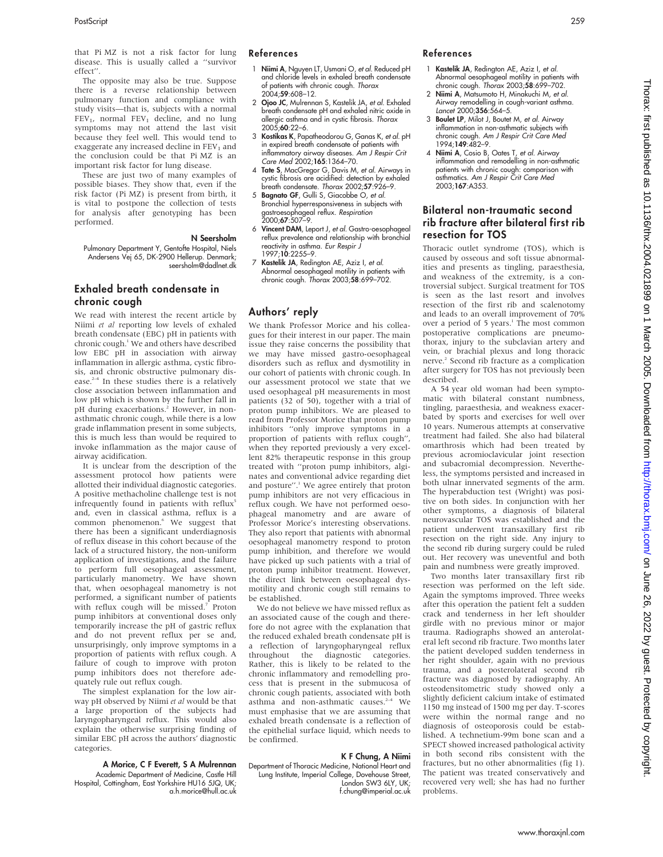that Pi MZ is not a risk factor for lung disease. This is usually called a ''survivor effect''.

The opposite may also be true. Suppose there is a reverse relationship between pulmonary function and compliance with study visits—that is, subjects with a normal  $FEV<sub>1</sub>$ , normal  $FEV<sub>1</sub>$  decline, and no lung symptoms may not attend the last visit because they feel well. This would tend to exaggerate any increased decline in FEV<sub>1</sub> and the conclusion could be that Pi MZ is an important risk factor for lung disease.

These are just two of many examples of possible biases. They show that, even if the risk factor (Pi MZ) is present from birth, it is vital to postpone the collection of tests for analysis after genotyping has been performed.

#### N Seersholm

Pulmonary Department Y, Gentofte Hospital, Niels Andersens Vej 65, DK-2900 Hellerup. Denmark; seersholm@dadlnet.dk

## Exhaled breath condensate in chronic cough

We read with interest the recent article by Niimi et al reporting low levels of exhaled breath condensate (EBC) pH in patients with chronic cough.<sup>1</sup> We and others have described low EBC pH in association with airway inflammation in allergic asthma, cystic fibrosis, and chronic obstructive pulmonary disease.2–4 In these studies there is a relatively close association between inflammation and low pH which is shown by the further fall in pH during exacerbations.<sup>2</sup> However, in nonasthmatic chronic cough, while there is a low grade inflammation present in some subjects, this is much less than would be required to invoke inflammation as the major cause of airway acidification.

It is unclear from the description of the assessment protocol how patients were allotted their individual diagnostic categories. A positive methacholine challenge test is not infrequently found in patients with reflux<sup>5</sup> and, even in classical asthma, reflux is a common phenomenon.6 We suggest that there has been a significant underdiagnosis of reflux disease in this cohort because of the lack of a structured history, the non-uniform application of investigations, and the failure to perform full oesophageal assessment, particularly manometry. We have shown that, when oesophageal manometry is not performed, a significant number of patients with reflux cough will be missed.<sup>7</sup> Proton pump inhibitors at conventional doses only temporarily increase the pH of gastric reflux and do not prevent reflux per se and, unsurprisingly, only improve symptoms in a proportion of patients with reflux cough. A failure of cough to improve with proton pump inhibitors does not therefore adequately rule out reflux cough.

The simplest explanation for the low airway pH observed by Niimi et al would be that a large proportion of the subjects had laryngopharyngeal reflux. This would also explain the otherwise surprising finding of similar EBC pH across the authors' diagnostic categories.

#### A Morice, C F Everett, S A Mulrennan

Academic Department of Medicine, Castle Hill Hospital, Cottingham, East Yorkshire HU16 5JQ, UK; a.h.morice@hull.ac.uk

## References

- 1 Niimi A, Nguyen LT, Usmani O, et al. Reduced pH and chloride levels in exhaled breath condensate of patients with chronic cough. Thorax 2004;59:608–12.
- 2 Ojoo JC, Mulrennan S, Kastelik JA, et al. Exhaled breath condensate pH and exhaled nitric oxide in allergic asthma and in cystic fibrosis. Thorax 2005;60:22–6.
- 3 Kostikas K, Papatheodorou G, Ganas K, et al. pH in expired breath condensate of patients with intlammatory airway diseases. *Am J Respir Crit*<br>*Care Med* 2002;**165**:1364–70.
- 4 Tate S, MacGregor G, Davis M, et al. Airways in cystic fibrosis are acidified: detection by exhaled<br>breath condensate. *Thorax* 2002;**57**:926–9.
- 5 Bagnato GF, Gulli S, Giacobbe O, et al. Bronchial hyperresponsiveness in subjects with gastroesophageal reflux. *Respiration*<br>2000;**67**:507–9.
- 6 Vincent DAM, Leport J, et al. Gastro-oesophageal reflux prevalence and relationship with bronchial reactivity in asthma. Eur Respir J 1997;10:2255–9.
- 7 Kastelik JA, Redington AE, Aziz I, et al. Abnormal oesophageal motility in patients with chronic cough. Thorax 2003;58:699–702.

## Authors' reply

We thank Professor Morice and his colleagues for their interest in our paper. The main issue they raise concerns the possibility that we may have missed gastro-oesophageal disorders such as reflux and dysmotility in our cohort of patients with chronic cough. In our assessment protocol we state that we used oesophageal pH measurements in most patients (32 of 50), together with a trial of proton pump inhibitors. We are pleased to read from Professor Morice that proton pump inhibitors ''only improve symptoms in a proportion of patients with reflux cough'', when they reported previously a very excellent 82% therapeutic response in this group treated with ''proton pump inhibitors, alginates and conventional advice regarding diet and posture".<sup>1</sup> We agree entirely that proton pump inhibitors are not very efficacious in reflux cough. We have not performed oesophageal manometry and are aware of Professor Morice's interesting observations. They also report that patients with abnormal oesophageal manometry respond to proton pump inhibition, and therefore we would have picked up such patients with a trial of proton pump inhibitor treatment. However, the direct link between oesophageal dysmotility and chronic cough still remains to be established.

We do not believe we have missed reflux as an associated cause of the cough and therefore do not agree with the explanation that the reduced exhaled breath condensate pH is a reflection of laryngopharyngeal reflux throughout the diagnostic categories. Rather, this is likely to be related to the chronic inflammatory and remodelling process that is present in the submucosa of chronic cough patients, associated with both asthma and non-asthmatic causes.<sup>2-4</sup> We must emphasise that we are assuming that exhaled breath condensate is a reflection of the epithelial surface liquid, which needs to be confirmed.

#### K F Chung, A Niimi

Department of Thoracic Medicine, National Heart and Lung Institute, Imperial College, Dovehouse Street, London SW3 6LY, UK; f.chung@imperial.ac.uk

#### References

- 1 Kastelik JA, Redington AE, Aziz I, et al. Abnormal oesophageal motility in patients with chronic cough. Thorax 2003;58:699–702.
- 2 Niimi A, Matsumoto H, Minakuchi M, et al. Airway remodelling in cough-variant asthma. Lancet 2000;356:564–5.
- 3 Boulet LP, Milot J, Boutet M, et al. Airway inflammation in non-asthmatic subjects with chronic cough. Am J Respir Crit Care Med 1994;149:482–9.
- 4 Niimi A, Cosio B, Oates T, et al. Airway inflammation and remodelling in non-asthmatic patients with chronic cough: comparison with asthmatics. Am J Respir Crit Care Med 2003;167:A353.

## Bilateral non-traumatic second rib fracture after bilateral first rib resection for TOS

Thoracic outlet syndrome (TOS), which is caused by osseous and soft tissue abnormalities and presents as tingling, paraesthesia, and weakness of the extremity, is a controversial subject. Surgical treatment for TOS is seen as the last resort and involves resection of the first rib and scalenotomy and leads to an overall improvement of 70% over a period of 5 years.<sup>1</sup> The most common postoperative complications are pneumothorax, injury to the subclavian artery and vein, or brachial plexus and long thoracic nerve.<sup>2</sup> Second rib fracture as a complication after surgery for TOS has not previously been described.

A 54 year old woman had been symptomatic with bilateral constant numbness, tingling, paraesthesia, and weakness exacerbated by sports and exercises for well over 10 years. Numerous attempts at conservative treatment had failed. She also had bilateral omarthrosis which had been treated by previous acromioclavicular joint resection and subacromial decompression. Nevertheless, the symptoms persisted and increased in both ulnar innervated segments of the arm. The hyperabduction test (Wright) was positive on both sides. In conjunction with her other symptoms, a diagnosis of bilateral neurovascular TOS was established and the patient underwent transaxillary first rib resection on the right side. Any injury to the second rib during surgery could be ruled out. Her recovery was uneventful and both pain and numbness were greatly improved.

Two months later transaxillary first rib resection was performed on the left side. Again the symptoms improved. Three weeks after this operation the patient felt a sudden crack and tenderness in her left shoulder girdle with no previous minor or major trauma. Radiographs showed an anterolateral left second rib fracture. Two months later the patient developed sudden tenderness in her right shoulder, again with no previous trauma, and a posterolateral second rib fracture was diagnosed by radiography. An osteodensitometric study showed only a slightly deficient calcium intake of estimated 1150 mg instead of 1500 mg per day. T-scores were within the normal range and no diagnosis of osteoporosis could be established. A technetium-99m bone scan and a SPECT showed increased pathological activity in both second ribs consistent with the fractures, but no other abnormalities (fig 1). The patient was treated conservatively and recovered very well; she has had no further problems.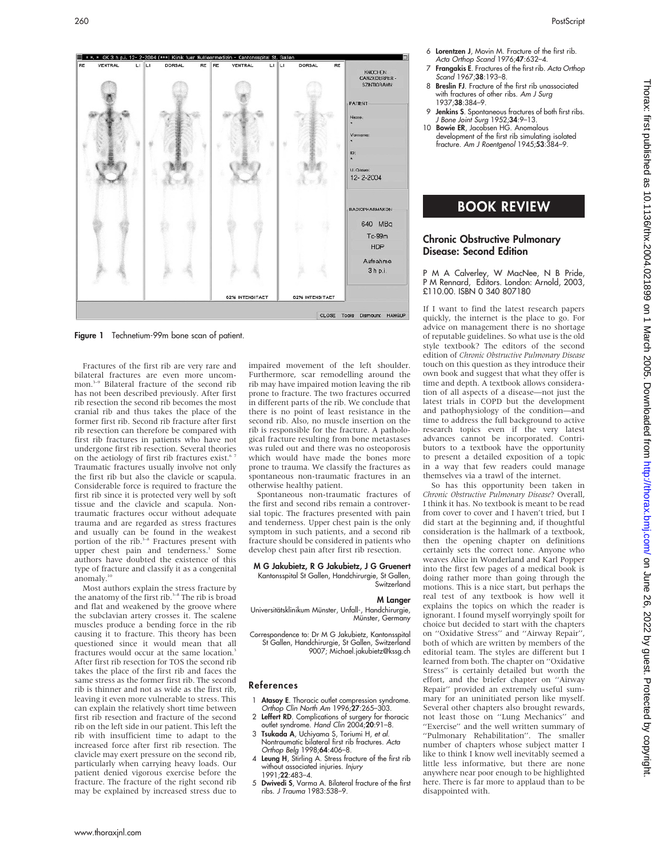

Figure 1 Technetium-99m bone scan of patient.

Fractures of the first rib are very rare and bilateral fractures are even more uncommon.<sup>3–9</sup> Bilateral fracture of the second rib has not been described previously. After first rib resection the second rib becomes the most cranial rib and thus takes the place of the former first rib. Second rib fracture after first rib resection can therefore be compared with first rib fractures in patients who have not undergone first rib resection. Several theories on the aetiology of first rib fractures exist.<sup>6</sup> Traumatic fractures usually involve not only the first rib but also the clavicle or scapula. Considerable force is required to fracture the first rib since it is protected very well by soft tissue and the clavicle and scapula. Nontraumatic fractures occur without adequate trauma and are regarded as stress fractures and usually can be found in the weakest portion of the rib.<sup>3–8</sup> Fractures present with upper chest pain and tenderness.<sup>3</sup> Some authors have doubted the existence of this type of fracture and classify it as a congenital anomaly. $<sup>1</sup>$ </sup>

Most authors explain the stress fracture by the anatomy of the first rib.<sup>3–8</sup> The rib is broad and flat and weakened by the groove where the subclavian artery crosses it. The scalene muscles produce a bending force in the rib causing it to fracture. This theory has been questioned since it would mean that all fractures would occur at the same location.<sup>3</sup> After first rib resection for TOS the second rib takes the place of the first rib and faces the same stress as the former first rib. The second rib is thinner and not as wide as the first rib, leaving it even more vulnerable to stress. This can explain the relatively short time between first rib resection and fracture of the second rib on the left side in our patient. This left the rib with insufficient time to adapt to the increased force after first rib resection. The clavicle may exert pressure on the second rib, particularly when carrying heavy loads. Our patient denied vigorous exercise before the fracture. The fracture of the right second rib may be explained by increased stress due to impaired movement of the left shoulder. Furthermore, scar remodelling around the rib may have impaired motion leaving the rib prone to fracture. The two fractures occurred in different parts of the rib. We conclude that there is no point of least resistance in the second rib. Also, no muscle insertion on the rib is responsible for the fracture. A pathological fracture resulting from bone metastases was ruled out and there was no osteoporosis which would have made the bones more prone to trauma. We classify the fractures as spontaneous non-traumatic fractures in an otherwise healthy patient.

Spontaneous non-traumatic fractures of the first and second ribs remain a controversial topic. The fractures presented with pain and tenderness. Upper chest pain is the only symptom in such patients, and a second rib fracture should be considered in patients who develop chest pain after first rib resection.

#### M G Jakubietz, R G Jakubietz, J G Gruenert Kantonsspital St Gallen, Handchirurgie, St Gallen, Switzerland

#### M Langer

Universitätsklinikum Münster, Unfall-, Handchirurgie, Münster, Germany

Correspondence to: Dr M G Jakubietz, Kantonsspital St Gallen, Handchirurgie, St Gallen, Switzerland 9007; Michael.jakubietz@kssg.ch

#### References

- 1 Atasoy E. Thoracic outlet compression syndrome. Orthop Clin North Am 1996;27:265–303.
- 2 Leffert RD. Complications of surgery for thoracic outlet syndrome. Hand Clin 2004;20:91-8.
- 3 Tsukada A, Uchiyama S, Toriumi H, et al. Nontraumatic bilateral first rib fractures. Acta Orthop Belg 1998;64:406-8.
- 4 Leung H, Stirling A. Stress fracture of the first rib without associated injuries. Injury 1991;22:483–4.
- 5 Dwivedi S, Varma A. Bilateral fracture of the first ribs. J Trauma 1983:538–9.
- 6 Lorentzen J, Movin M. Fracture of the first rib. Acta Orthop Scand 1976;47:632–4.
- Frangakis E. Fractures of the first rib. Acta Orthop Scand 1967;38:193–8.
- 8 Breslin FJ. Fracture of the first rib unassociated with fractures of other ribs. Am J Surg 1937;38:384–9.
- 9 Jenkins S. Spontaneous fractures of both first ribs. J Bone Joint Surg 1952;34:9–13.
- 10 **Bowie ER**, Jacobsen HG. Anomalous development of the first rib simulating isolated fracture. Am J Roentgenol 1945;53:384–9.

# BOOK REVIEW

## Chronic Obstructive Pulmonary Disease: Second Edition

P M A Calverley, W MacNee, N B Pride, P M Rennard, Editors. London: Arnold, 2003, £110.00. ISBN 0 340 807180

If I want to find the latest research papers quickly, the internet is the place to go. For advice on management there is no shortage of reputable guidelines. So what use is the old style textbook? The editors of the second edition of Chronic Obstructive Pulmonary Disease touch on this question as they introduce their own book and suggest that what they offer is time and depth. A textbook allows consideration of all aspects of a disease—not just the latest trials in COPD but the development and pathophysiology of the condition—and time to address the full background to active research topics even if the very latest advances cannot be incorporated. Contributors to a textbook have the opportunity to present a detailed exposition of a topic in a way that few readers could manage themselves via a trawl of the internet.

So has this opportunity been taken in Chronic Obstructive Pulmonary Disease? Overall, I think it has. No textbook is meant to be read from cover to cover and I haven't tried, but I did start at the beginning and, if thoughtful consideration is the hallmark of a textbook, then the opening chapter on definitions certainly sets the correct tone. Anyone who weaves Alice in Wonderland and Karl Popper into the first few pages of a medical book is doing rather more than going through the motions. This is a nice start, but perhaps the real test of any textbook is how well it explains the topics on which the reader is ignorant. I found myself worryingly spoilt for choice but decided to start with the chapters on ''Oxidative Stress'' and ''Airway Repair'', both of which are written by members of the editorial team. The styles are different but I learned from both. The chapter on ''Oxidative Stress'' is certainly detailed but worth the effort, and the briefer chapter on ''Airway Repair'' provided an extremely useful summary for an uninitiated person like myself. Several other chapters also brought rewards, not least those on ''Lung Mechanics'' and ''Exercise'' and the well written summary of ''Pulmonary Rehabilitation''. The smaller number of chapters whose subject matter I like to think I know well inevitably seemed a little less informative, but there are none anywhere near poor enough to be highlighted here. There is far more to applaud than to be disappointed with.